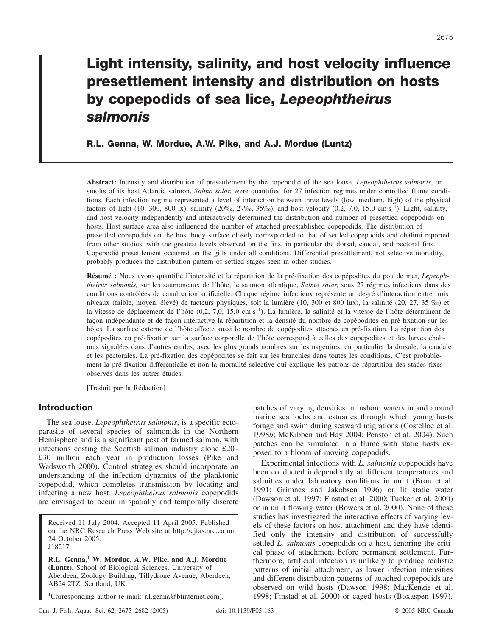# **Light intensity, salinity, and host velocity influence presettlement intensity and distribution on hosts by copepodids of sea lice,** *Lepeophtheirus salmonis*

**R.L. Genna, W. Mordue, A.W. Pike, and A.J. Mordue (Luntz)**

**Abstract:** Intensity and distribution of presettlement by the copepodid of the sea louse, *Lepeophtheirus salmonis*, on smolts of its host Atlantic salmon, *Salmo salar*, were quantified for 27 infection regimes under controlled flume conditions. Each infection regime represented a level of interaction between three levels (low, medium, high) of the physical factors of light (10, 300, 800 lx), salinity (20‰, 27‰, 35‰), and host velocity (0.2, 7.0, 15.0 cm·s<sup>-1</sup>). Light, salinity, and host velocity independently and interactively determined the distribution and number of presettled copepodids on hosts. Host surface area also influenced the number of attached preestablished copepodids. The distribution of presettled copepodids on the host body surface closely corresponded to that of settled copepodids and chalimi reported from other studies, with the greatest levels observed on the fins, in particular the dorsal, caudal, and pectoral fins. Copepodid presettlement occurred on the gills under all conditions. Differential presettlement, not selective mortality, probably produces the distribution pattern of settled stages seen in other studies.

**Résumé :** Nous avons quantifié l'intensité et la répartition de la pré-fixation des copépodites du pou de mer, *Lepeophtheirus salmonis,* sur les saumoneaux de l'hôte, le saumon atlantique, *Salmo salar*, sous 27 régimes infectieux dans des conditions contrôlées de canalisation artificielle. Chaque régime infectieux représente un degré d'interaction entre trois niveaux (faible, moyen, élevé) de facteurs physiques, soit la lumière (10, 300 et 800 lux), la salinité (20, 27, 35 ‰) et la vitesse de déplacement de l'hôte (0,2, 7,0, 15,0 cm·s<sup>-1</sup>). La lumière, la salinité et la vitesse de l'hôte déterminent de façon indépendante et de façon interactive la répartition et la densité du nombre de copépodites en pré-fixation sur les hôtes. La surface externe de l'hôte affecte aussi le nombre de copépodites attachés en pré-fixation. La répartition des copépodites en pré-fixation sur la surface corporelle de l'hôte correspond à celles des copépodites et des larves chalimus signalées dans d'autres études, avec les plus grands nombres sur les nageoires, en particulier la dorsale, la caudale et les pectorales. La pré-fixation des copépodites se fait sur les branchies dans toutes les conditions. C'est probablement la pré-fixation différentielle et non la mortalité sélective qui explique les patrons de répartition des stades fixés observés dans les autres études.

[Traduit par la Rédaction]

# **Introduction**

The sea louse, *Lepeophtheirus salmonis*, is a specific ectoparasite of several species of salmonids in the Northern Hemisphere and is a significant pest of farmed salmon, with infections costing the Scottish salmon industry alone £20– £30 million each year in production losses (Pike and Wadsworth 2000). Control strategies should incorporate an understanding of the infection dynamics of the planktonic copepodid, which completes transmission by locating and infecting a new host. *Lepeophtheirus salmonis* copepodids are envisaged to occur in spatially and temporally discrete

Received 11 July 2004. Accepted 11 April 2005. Published on the NRC Research Press Web site at http://cjfas.nrc.ca on 24 October 2005. J18217

**R.L. Genna,<sup>1</sup> W. Mordue, A.W. Pike, and A.J. Mordue (Luntz).** School of Biological Sciences, University of Aberdeen, Zoology Building, Tillydrone Avenue, Aberdeen, AB24 2TZ, Scotland, UK.

1 Corresponding author (e-mail: r.l.genna@btinternet.com).

patches of varying densities in inshore waters in and around marine sea lochs and estuaries through which young hosts forage and swim during seaward migrations (Costelloe et al. 1998*b*; McKibben and Hay 2004; Penston et al. 2004). Such patches can be simulated in a flume with static hosts exposed to a bloom of moving copepodids.

Experimental infections with *L. salmonis* copepodids have been conducted independently at different temperatures and salinities under laboratory conditions in unlit (Bron et al. 1991; Grimnes and Jakobsen 1996) or lit static water (Dawson et al. 1997; Finstad et al. 2000; Tucker et al. 2000) or in unlit flowing water (Bowers et al. 2000). None of these studies has investigated the interactive effects of varying levels of these factors on host attachment and they have identified only the intensity and distribution of successfully settled *L. salmonis* copepodids on a host, ignoring the critical phase of attachment before permanent settlement. Furthermore, artificial infection is unlikely to produce realistic patterns of initial attachment, as lower infection intensities and different distribution patterns of attached copepodids are observed on wild hosts (Dawson 1998; MacKenzie et al. 1998; Finstad et al. 2000) or caged hosts (Boxaspen 1997).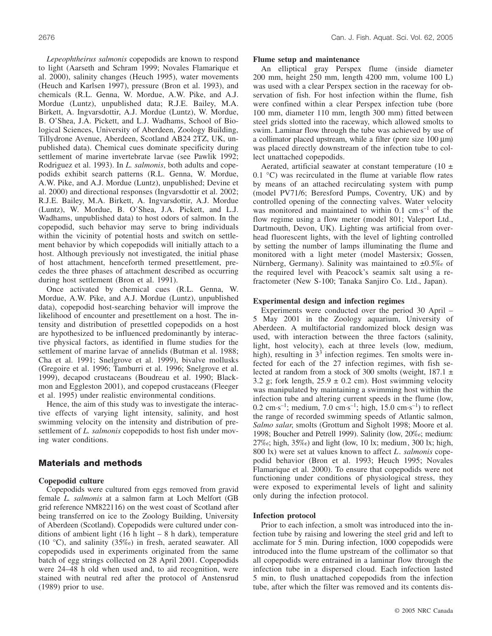*Lepeophtheirus salmonis* copepodids are known to respond to light (Aarseth and Schram 1999; Novales Flamarique et al. 2000), salinity changes (Heuch 1995), water movements (Heuch and Karlsen 1997), pressure (Bron et al. 1993), and chemicals (R.L. Genna, W. Mordue, A.W. Pike, and A.J. Mordue (Luntz), unpublished data; R.J.E. Bailey, M.A. Birkett, A. Ingvarsdottir, A.J. Mordue (Luntz), W. Mordue, B. O'Shea, J.A. Pickett, and L.J. Wadhams, School of Biological Sciences, University of Aberdeen, Zoology Building, Tillydrone Avenue, Aberdeen, Scotland AB24 2TZ, UK, unpublished data). Chemical cues dominate specificity during settlement of marine invertebrate larvae (see Pawlik 1992; Rodriguez et al. 1993). In *L. salmonis*, both adults and copepodids exhibit search patterns (R.L. Genna, W. Mordue, A.W. Pike, and A.J. Mordue (Luntz), unpublished; Devine et al. 2000) and directional responses (Ingvarsdottir et al. 2002; R.J.E. Bailey, M.A. Birkett, A. Ingvarsdottir, A.J. Mordue (Luntz), W. Mordue, B. O'Shea, J.A. Pickett, and L.J. Wadhams, unpublished data) to host odors of salmon. In the copepodid, such behavior may serve to bring individuals within the vicinity of potential hosts and switch on settlement behavior by which copepodids will initially attach to a host. Although previously not investigated, the initial phase of host attachment, henceforth termed presettlement, precedes the three phases of attachment described as occurring during host settlement (Bron et al. 1991).

Once activated by chemical cues (R.L. Genna, W. Mordue, A.W. Pike, and A.J. Mordue (Luntz), unpublished data), copepodid host-searching behavior will improve the likelihood of encounter and presettlement on a host. The intensity and distribution of presettled copepodids on a host are hypothesized to be influenced predominantly by interactive physical factors, as identified in flume studies for the settlement of marine larvae of annelids (Butman et al. 1988; Cha et al. 1991; Snelgrove et al. 1999), bivalve mollusks (Gregoire et al. 1996; Tamburri et al. 1996; Snelgrove et al. 1999), decapod crustaceans (Boudreau et al. 1990; Blackmon and Eggleston 2001), and copepod crustaceans (Fleeger et al. 1995) under realistic environmental conditions.

Hence, the aim of this study was to investigate the interactive effects of varying light intensity, salinity, and host swimming velocity on the intensity and distribution of presettlement of *L. salmonis* copepodids to host fish under moving water conditions.

# **Materials and methods**

# **Copepodid culture**

Copepodids were cultured from eggs removed from gravid female *L. salmonis* at a salmon farm at Loch Melfort (GB grid reference NM822116) on the west coast of Scotland after being transferred on ice to the Zoology Building, University of Aberdeen (Scotland). Copepodids were cultured under conditions of ambient light  $(16 h$  light – 8 h dark), temperature (10 °C), and salinity (35‰) in fresh, aerated seawater. All copepodids used in experiments originated from the same batch of egg strings collected on 28 April 2001. Copepodids were 24–48 h old when used and, to aid recognition, were stained with neutral red after the protocol of Anstensrud (1989) prior to use.

## **Flume setup and maintenance**

An elliptical gray Perspex flume (inside diameter 200 mm, height 250 mm, length 4200 mm, volume 100 L) was used with a clear Perspex section in the raceway for observation of fish. For host infection within the flume, fish were confined within a clear Perspex infection tube (bore 100 mm, diameter 110 mm, length 300 mm) fitted between steel grids slotted into the raceway, which allowed smolts to swim. Laminar flow through the tube was achieved by use of a collimator placed upstream, while a filter (pore size  $100 \mu m$ ) was placed directly downstream of the infection tube to collect unattached copepodids.

Aerated, artificial seawater at constant temperature (10  $\pm$ 0.1 °C) was recirculated in the flume at variable flow rates by means of an attached recirculating system with pump (model PV71/6; Beresford Pumps, Coventry, UK) and by controlled opening of the connecting valves. Water velocity was monitored and maintained to within  $0.1 \, \text{cm} \cdot \text{s}^{-1}$  of the flow regime using a flow meter (model 801; Valeport Ltd., Dartmouth, Devon, UK). Lighting was artificial from overhead fluorescent lights, with the level of lighting controlled by setting the number of lamps illuminating the flume and monitored with a light meter (model Mastersix; Gossen, Nürnberg, Germany). Salinity was maintained to ±0.5‰ of the required level with Peacock's seamix salt using a refractometer (New S-100; Tanaka Sanjiro Co. Ltd., Japan).

## **Experimental design and infection regimes**

Experiments were conducted over the period 30 April – 5 May 2001 in the Zoology aquarium, University of Aberdeen. A multifactorial randomized block design was used, with interaction between the three factors (salinity, light, host velocity), each at three levels (low, medium, high), resulting in  $3<sup>3</sup>$  infection regimes. Ten smolts were infected for each of the 27 infection regimes, with fish selected at random from a stock of 300 smolts (weight,  $187.1 \pm$ 3.2 g; fork length,  $25.9 \pm 0.2$  cm). Host swimming velocity was manipulated by maintaining a swimming host within the infection tube and altering current speeds in the flume (low, 0.2 cm·s<sup>-1</sup>; medium, 7.0 cm·s<sup>-1</sup>; high, 15.0 cm·s<sup>-1</sup>) to reflect the range of recorded swimming speeds of Atlantic salmon, *Salmo salar*, smolts (Grottum and Sigholt 1998; Moore et al. 1998; Boucher and Petrell 1999). Salinity (low, 20‰; medium: 27‰; high, 35‰) and light (low, 10 lx; medium, 300 lx; high, 800 lx) were set at values known to affect *L. salmonis* copepodid behavior (Bron et al. 1993; Heuch 1995; Novales Flamarique et al. 2000). To ensure that copepodids were not functioning under conditions of physiological stress, they were exposed to experimental levels of light and salinity only during the infection protocol.

## **Infection protocol**

Prior to each infection, a smolt was introduced into the infection tube by raising and lowering the steel grid and left to acclimate for 5 min. During infection, 1000 copepodids were introduced into the flume upstream of the collimator so that all copepodids were entrained in a laminar flow through the infection tube in a dispersed cloud. Each infection lasted 5 min, to flush unattached copepodids from the infection tube, after which the filter was removed and its contents dis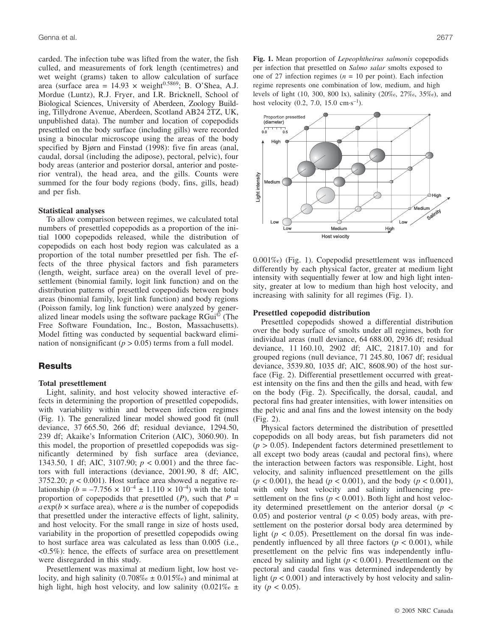carded. The infection tube was lifted from the water, the fish culled, and measurements of fork length (centimetres) and wet weight (grams) taken to allow calculation of surface area (surface area =  $14.93 \times$  weight<sup>0.5869</sup>; B. O'Shea, A.J. Mordue (Luntz), R.J. Fryer, and I.R. Bricknell, School of Biological Sciences, University of Aberdeen, Zoology Building, Tillydrone Avenue, Aberdeen, Scotland AB24 2TZ, UK, unpublished data). The number and location of copepodids presettled on the body surface (including gills) were recorded using a binocular microscope using the areas of the body specified by Bjørn and Finstad (1998): five fin areas (anal, caudal, dorsal (including the adipose), pectoral, pelvic), four body areas (anterior and posterior dorsal, anterior and posterior ventral), the head area, and the gills. Counts were summed for the four body regions (body, fins, gills, head) and per fish.

#### **Statistical analyses**

To allow comparison between regimes, we calculated total numbers of presettled copepodids as a proportion of the initial 1000 copepodids released, while the distribution of copepodids on each host body region was calculated as a proportion of the total number presettled per fish. The effects of the three physical factors and fish parameters (length, weight, surface area) on the overall level of presettlement (binomial family, logit link function) and on the distribution patterns of presettled copepodids between body areas (binomial family, logit link function) and body regions (Poisson family, log link function) were analyzed by generalized linear models using the software package RGui<sup>©</sup> (The Free Software Foundation, Inc., Boston, Massachusetts). Model fitting was conducted by sequential backward elimination of nonsignificant ( $p > 0.05$ ) terms from a full model.

## **Results**

## **Total presettlement**

Light, salinity, and host velocity showed interactive effects in determining the proportion of presettled copepodids, with variability within and between infection regimes (Fig. 1). The generalized linear model showed good fit (null deviance, 37 665.50, 266 df; residual deviance, 1294.50, 239 df; Akaike's Information Criterion (AIC), 3060.90). In this model, the proportion of presettled copepodids was significantly determined by fish surface area (deviance, 1343.50, 1 df; AIC, 3107.90; *p* < 0.001) and the three factors with full interactions (deviance, 2001.90, 8 df; AIC, 3752.20;  $p < 0.001$ ). Host surface area showed a negative relationship ( $b = -7.756 \times 10^{-4} \pm 1.110 \times 10^{-4}$ ) with the total proportion of copepodids that presettled  $(P)$ , such that  $P =$  $a \exp(b \times \text{surface area})$ , where *a* is the number of copepodids that presettled under the interactive effects of light, salinity, and host velocity. For the small range in size of hosts used, variability in the proportion of presettled copepodids owing to host surface area was calculated as less than 0.005 (i.e., <0.5%): hence, the effects of surface area on presettlement were disregarded in this study.

Presettlement was maximal at medium light, low host velocity, and high salinity  $(0.708\% \text{ o } \pm 0.015\%)$  and minimal at high light, high host velocity, and low salinity  $(0.021\% \text{ o} \pm \text{m})$ 

**Fig. 1.** Mean proportion of *Lepeophtheirus salmonis* copepodids per infection that presettled on *Salmo salar* smolts exposed to one of 27 infection regimes  $(n = 10$  per point). Each infection regime represents one combination of low, medium, and high levels of light (10, 300, 800 lx), salinity (20‰, 27‰, 35‰), and host velocity  $(0.2, 7.0, 15.0 \text{ cm} \cdot \text{s}^{-1})$ .



0.001‰) (Fig. 1). Copepodid presettlement was influenced differently by each physical factor, greater at medium light intensity with sequentially fewer at low and high light intensity, greater at low to medium than high host velocity, and increasing with salinity for all regimes (Fig. 1).

#### **Presettled copepodid distribution**

Presettled copepodids showed a differential distribution over the body surface of smolts under all regimes, both for individual areas (null deviance, 64 688.00, 2936 df; residual deviance, 11 160.10, 2902 df; AIC, 21817.10) and for grouped regions (null deviance, 71 245.80, 1067 df; residual deviance, 3539.80, 1035 df; AIC, 8608.90) of the host surface (Fig. 2). Differential presettlement occurred with greatest intensity on the fins and then the gills and head, with few on the body (Fig. 2). Specifically, the dorsal, caudal, and pectoral fins had greater intensities, with lower intensities on the pelvic and anal fins and the lowest intensity on the body (Fig. 2).

Physical factors determined the distribution of presettled copepodids on all body areas, but fish parameters did not  $(p > 0.05)$ . Independent factors determined presettlement to all except two body areas (caudal and pectoral fins), where the interaction between factors was responsible. Light, host velocity, and salinity influenced presettlement on the gills (*p* < 0.001), the head (*p* < 0.001), and the body (*p* < 0.001), with only host velocity and salinity influencing presettlement on the fins ( $p < 0.001$ ). Both light and host velocity determined presettlement on the anterior dorsal (*p* < 0.05) and posterior ventral ( $p < 0.05$ ) body areas, with presettlement on the posterior dorsal body area determined by light ( $p < 0.05$ ). Presettlement on the dorsal fin was independently influenced by all three factors  $(p < 0.001)$ , while presettlement on the pelvic fins was independently influenced by salinity and light ( $p < 0.001$ ). Presettlement on the pectoral and caudal fins was determined independently by light ( $p < 0.001$ ) and interactively by host velocity and salinity ( $p < 0.05$ ).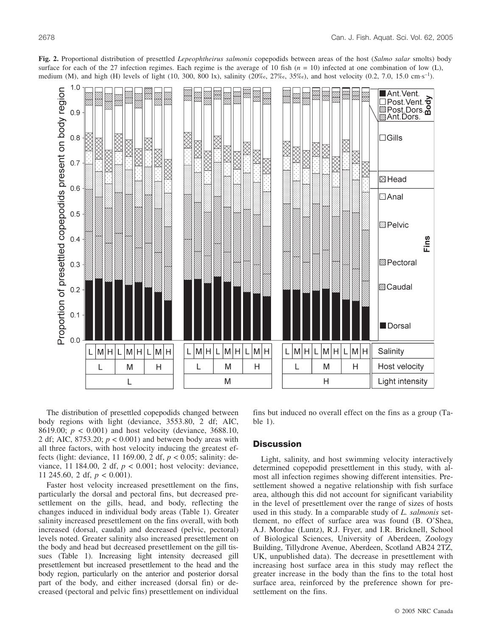

**Fig. 2.** Proportional distribution of presettled *Lepeophtheirus salmonis* copepodids between areas of the host (*Salmo salar* smolts) body surface for each of the 27 infection regimes. Each regime is the average of 10 fish  $(n = 10)$  infected at one combination of low (L), medium (M), and high (H) levels of light (10, 300, 800 lx), salinity (20‰, 27‰, 35‰), and host velocity (0.2, 7.0, 15.0 cm·s–1).

The distribution of presettled copepodids changed between body regions with light (deviance, 3553.80, 2 df; AIC, 8619.00; *p* < 0.001) and host velocity (deviance, 3688.10, 2 df; AIC, 8753.20; *p* < 0.001) and between body areas with all three factors, with host velocity inducing the greatest effects (light: deviance, 11 169.00, 2 df, *p* < 0.05; salinity: deviance, 11 184.00, 2 df, *p* < 0.001; host velocity: deviance, 11 245.60, 2 df, *p* < 0.001).

Faster host velocity increased presettlement on the fins, particularly the dorsal and pectoral fins, but decreased presettlement on the gills, head, and body, reflecting the changes induced in individual body areas (Table 1). Greater salinity increased presettlement on the fins overall, with both increased (dorsal, caudal) and decreased (pelvic, pectoral) levels noted. Greater salinity also increased presettlement on the body and head but decreased presettlement on the gill tissues (Table 1). Increasing light intensity decreased gill presettlement but increased presettlement to the head and the body region, particularly on the anterior and posterior dorsal part of the body, and either increased (dorsal fin) or decreased (pectoral and pelvic fins) presettlement on individual fins but induced no overall effect on the fins as a group (Table 1).

# **Discussion**

Light, salinity, and host swimming velocity interactively determined copepodid presettlement in this study, with almost all infection regimes showing different intensities. Presettlement showed a negative relationship with fish surface area, although this did not account for significant variability in the level of presettlement over the range of sizes of hosts used in this study. In a comparable study of *L. salmonis* settlement, no effect of surface area was found (B. O'Shea, A.J. Mordue (Luntz), R.J. Fryer, and I.R. Bricknell, School of Biological Sciences, University of Aberdeen, Zoology Building, Tillydrone Avenue, Aberdeen, Scotland AB24 2TZ, UK, unpublished data). The decrease in presettlement with increasing host surface area in this study may reflect the greater increase in the body than the fins to the total host surface area, reinforced by the preference shown for presettlement on the fins.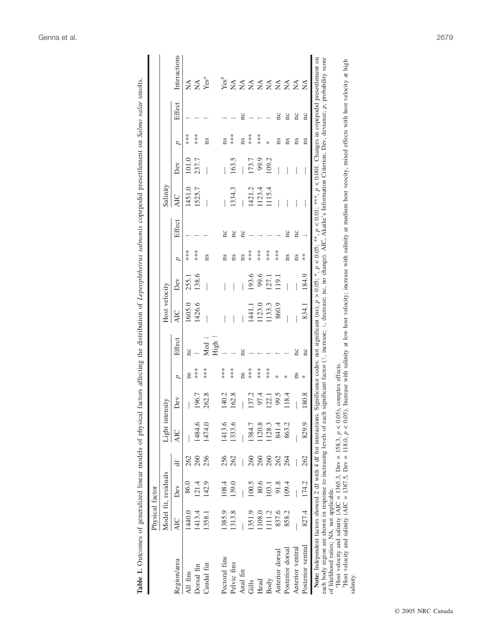| Table 1. Outcomes of generalized linear models of physical                                                                                                                                                                                                                                                      |                 |                      |     |                 |       |      |                | factors affecting the distribution of Lepeophtheirus salmonis copepodid presettlement on Salmo salar smolts. |               |     |        |            |       |      |        |                                                                                                                                                                                                                                                                                            |
|-----------------------------------------------------------------------------------------------------------------------------------------------------------------------------------------------------------------------------------------------------------------------------------------------------------------|-----------------|----------------------|-----|-----------------|-------|------|----------------|--------------------------------------------------------------------------------------------------------------|---------------|-----|--------|------------|-------|------|--------|--------------------------------------------------------------------------------------------------------------------------------------------------------------------------------------------------------------------------------------------------------------------------------------------|
|                                                                                                                                                                                                                                                                                                                 | Physical factor |                      |     |                 |       |      |                |                                                                                                              |               |     |        |            |       |      |        |                                                                                                                                                                                                                                                                                            |
|                                                                                                                                                                                                                                                                                                                 |                 | Model fit, residuals |     | Light intensity |       |      |                | Host velocity                                                                                                |               |     |        | Salinity   |       |      |        |                                                                                                                                                                                                                                                                                            |
| Region/area                                                                                                                                                                                                                                                                                                     | <b>AIC</b>      | Dev                  | ď   | <b>AIC</b>      | Dev   | ρ    | Effect         | <b>AIC</b>                                                                                                   | Dev           | d   | Effect | <b>AIC</b> | Dev   | d    | Effect | Interactions                                                                                                                                                                                                                                                                               |
| All fins                                                                                                                                                                                                                                                                                                        | 1440.0          | 86.0                 | 262 |                 |       | ns   | nc             | 1605.0                                                                                                       | 255.1         | *** |        | 1451.0     | 101.0 | ***  |        | $\frac{\mathbf{1}}{\mathbf{1}}$                                                                                                                                                                                                                                                            |
| Dorsal fin                                                                                                                                                                                                                                                                                                      | 1413.4          | 121.4                | 260 | 1484.6          | 196.7 | **** |                | 1426.6                                                                                                       | 138.6         | *** |        | 1525.7     | 237.7 | ***  |        | ₹                                                                                                                                                                                                                                                                                          |
| Caudal fin                                                                                                                                                                                                                                                                                                      | 1358.1          | 142.9                | 256 | 1474.0          | 262.8 | **** | Med            |                                                                                                              |               | ns  |        |            |       | ns   |        | Yes <sup>a</sup>                                                                                                                                                                                                                                                                           |
|                                                                                                                                                                                                                                                                                                                 |                 |                      |     |                 |       |      | High           |                                                                                                              |               |     |        |            |       |      |        |                                                                                                                                                                                                                                                                                            |
| Pectoral fins                                                                                                                                                                                                                                                                                                   | 1385.9          | 108.4                | 256 | 1413.6          | 140.2 | ***  |                |                                                                                                              |               | ns  | nc     |            |       | ns   |        | Yes <sup>b</sup>                                                                                                                                                                                                                                                                           |
| Pelvic fins                                                                                                                                                                                                                                                                                                     | 1313.8          | 139.0                | 262 | 1333.6          | 162.8 | ***  |                |                                                                                                              |               | ns  | nc     | 1334.3     | 163.5 | **** |        | $\sum_{i=1}^{n}$                                                                                                                                                                                                                                                                           |
| Anal fin                                                                                                                                                                                                                                                                                                        |                 |                      |     |                 |       | ns   | $\overline{a}$ |                                                                                                              |               | ns  | nc     |            |       | ns   | nc     | ≨                                                                                                                                                                                                                                                                                          |
| Gills                                                                                                                                                                                                                                                                                                           | 1351.9          | 100.5                | 260 | 1384.7          | 137.2 | ***  |                | 1441.1                                                                                                       | 193.6         | *** |        | 1421.2     | 173.7 | ***  |        | $\lessapprox$                                                                                                                                                                                                                                                                              |
| Head                                                                                                                                                                                                                                                                                                            | 1108.0          | 80.6                 | 260 | 120.8           | 97.4  | ***  |                | 123.0                                                                                                        | 9.6           | *** |        | 1123.4     | 99.9  | ***  |        | ₹                                                                                                                                                                                                                                                                                          |
| Body                                                                                                                                                                                                                                                                                                            | 111.2           | $\overline{03}$ .    | 260 | 128.3           | 22.1  | **** |                | 133.3                                                                                                        | 27.1          | *** |        | 115.4      | 109.2 | ∗    |        | $\sum_{i=1}^{n}$                                                                                                                                                                                                                                                                           |
| Anterior dorsal                                                                                                                                                                                                                                                                                                 | 837.6           | 91.8                 | 262 | 841.4           | 99.5  | ∗    |                | 860.9                                                                                                        | $\frac{1}{2}$ | *** |        |            |       | ns   | nc     | $\frac{1}{2}$                                                                                                                                                                                                                                                                              |
| Posterior dorsal                                                                                                                                                                                                                                                                                                | 858.2           | 109.4                | 264 | 863.2           | 18.4  | ℀    |                |                                                                                                              |               | ns  | nc     |            |       | ns   | nc     | ≸                                                                                                                                                                                                                                                                                          |
| Anterior ventral                                                                                                                                                                                                                                                                                                |                 |                      |     |                 |       | ns   | nc             |                                                                                                              |               | ns  | nc     |            |       | ns   | nc     | ≸                                                                                                                                                                                                                                                                                          |
| Posterior ventral                                                                                                                                                                                                                                                                                               | 827.4           | 174.2                | 262 | 829.9           | 180.8 | ₩    | ΩC             | 834.1                                                                                                        | 184.9         | $*$ |        |            |       | ns   | nc     | ≸                                                                                                                                                                                                                                                                                          |
| each body region are shown in response to increasing levels of each<br>Note: Independent factors showed 2 df with 4 df for interactions.<br>of likelihood ratios; NA, not applicable.                                                                                                                           |                 |                      |     |                 |       |      |                |                                                                                                              |               |     |        |            |       |      |        | significant factor (1, increase; 1, decrease; nc, no change). AIC, Akaike's Information Criterion; Dev, deviance; p, probability score<br>Significance codes: not significant (ns), $p > 0.05$ , *, $p < 0.05$ ; **, $p < 0.01$ , ***, $p < 0.001$ . Changes in copepodid presettlement on |
| PHost velocity and salinity (AIC = 1387.5, Dev = 118.0, $p < 0.05$ ). Increase with salinity at low host velocity; increase with salinity at medium host veocity, mixed effects with host velocity at high<br>Host velocity and salinity (AIC = 1365.3, Dev = 158.3, $p < 0.05$ ), complex effects.<br>salinity |                 |                      |     |                 |       |      |                |                                                                                                              |               |     |        |            |       |      |        |                                                                                                                                                                                                                                                                                            |
|                                                                                                                                                                                                                                                                                                                 |                 |                      |     |                 |       |      |                |                                                                                                              |               |     |        |            |       |      |        |                                                                                                                                                                                                                                                                                            |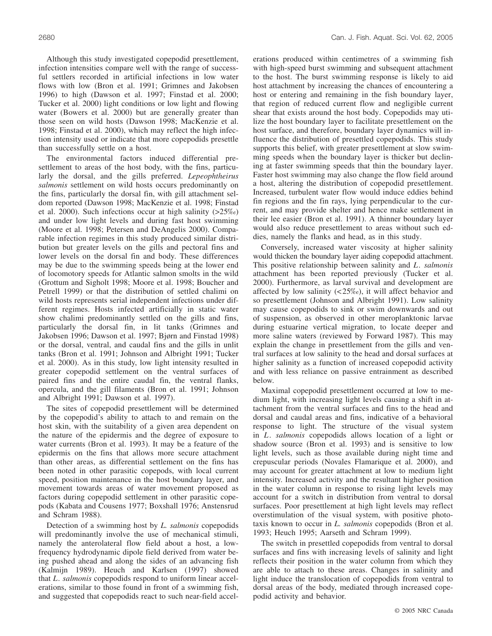Although this study investigated copepodid presettlement, infection intensities compare well with the range of successful settlers recorded in artificial infections in low water flows with low (Bron et al. 1991; Grimnes and Jakobsen 1996) to high (Dawson et al. 1997; Finstad et al. 2000; Tucker et al. 2000) light conditions or low light and flowing water (Bowers et al. 2000) but are generally greater than those seen on wild hosts (Dawson 1998; MacKenzie et al. 1998; Finstad et al. 2000), which may reflect the high infection intensity used or indicate that more copepodids presettle than successfully settle on a host.

The environmental factors induced differential presettlement to areas of the host body, with the fins, particularly the dorsal, and the gills preferred. *Lepeophtheirus salmonis* settlement on wild hosts occurs predominantly on the fins, particularly the dorsal fin, with gill attachment seldom reported (Dawson 1998; MacKenzie et al. 1998; Finstad et al. 2000). Such infections occur at high salinity  $(>25\%)$ and under low light levels and during fast host swimming (Moore et al. 1998; Petersen and DeAngelis 2000). Comparable infection regimes in this study produced similar distribution but greater levels on the gills and pectoral fins and lower levels on the dorsal fin and body. These differences may be due to the swimming speeds being at the lower end of locomotory speeds for Atlantic salmon smolts in the wild (Grottum and Sigholt 1998; Moore et al. 1998; Boucher and Petrell 1999) or that the distribution of settled chalimi on wild hosts represents serial independent infections under different regimes. Hosts infected artificially in static water show chalimi predominantly settled on the gills and fins, particularly the dorsal fin, in lit tanks (Grimnes and Jakobsen 1996; Dawson et al. 1997; Bjørn and Finstad 1998) or the dorsal, ventral, and caudal fins and the gills in unlit tanks (Bron et al. 1991; Johnson and Albright 1991; Tucker et al. 2000). As in this study, low light intensity resulted in greater copepodid settlement on the ventral surfaces of paired fins and the entire caudal fin, the ventral flanks, opercula, and the gill filaments (Bron et al. 1991; Johnson and Albright 1991; Dawson et al. 1997).

The sites of copepodid presettlement will be determined by the copepodid's ability to attach to and remain on the host skin, with the suitability of a given area dependent on the nature of the epidermis and the degree of exposure to water currents (Bron et al. 1993). It may be a feature of the epidermis on the fins that allows more secure attachment than other areas, as differential settlement on the fins has been noted in other parasitic copepods, with local current speed, position maintenance in the host boundary layer, and movement towards areas of water movement proposed as factors during copepodid settlement in other parasitic copepods (Kabata and Cousens 1977; Boxshall 1976; Anstensrud and Schram 1988).

Detection of a swimming host by *L. salmonis* copepodids will predominantly involve the use of mechanical stimuli, namely the anterolateral flow field about a host, a lowfrequency hydrodynamic dipole field derived from water being pushed ahead and along the sides of an advancing fish (Kalmijn 1989). Heuch and Karlsen (1997) showed that *L. salmonis* copepodids respond to uniform linear accelerations, similar to those found in front of a swimming fish, and suggested that copepodids react to such near-field accelerations produced within centimetres of a swimming fish with high-speed burst swimming and subsequent attachment to the host. The burst swimming response is likely to aid host attachment by increasing the chances of encountering a host or entering and remaining in the fish boundary layer, that region of reduced current flow and negligible current shear that exists around the host body. Copepodids may utilize the host boundary layer to facilitate presettlement on the host surface, and therefore, boundary layer dynamics will influence the distribution of presettled copepodids. This study supports this belief, with greater presettlement at slow swimming speeds when the boundary layer is thicker but declining at faster swimming speeds that thin the boundary layer. Faster host swimming may also change the flow field around a host, altering the distribution of copepodid presettlement. Increased, turbulent water flow would induce eddies behind fin regions and the fin rays, lying perpendicular to the current, and may provide shelter and hence make settlement in their lee easier (Bron et al. 1991). A thinner boundary layer would also reduce presettlement to areas without such eddies, namely the flanks and head, as in this study.

Conversely, increased water viscosity at higher salinity would thicken the boundary layer aiding copepodid attachment. This positive relationship between salinity and *L. salmonis* attachment has been reported previously (Tucker et al. 2000). Furthermore, as larval survival and development are affected by low salinity (< 25‰), it will affect behavior and so presettlement (Johnson and Albright 1991). Low salinity may cause copepodids to sink or swim downwards and out of suspension, as observed in other meroplanktonic larvae during estuarine vertical migration, to locate deeper and more saline waters (reviewed by Forward 1987). This may explain the change in presettlement from the gills and ventral surfaces at low salinity to the head and dorsal surfaces at higher salinity as a function of increased copepodid activity and with less reliance on passive entrainment as described below.

Maximal copepodid presettlement occurred at low to medium light, with increasing light levels causing a shift in attachment from the ventral surfaces and fins to the head and dorsal and caudal areas and fins, indicative of a behavioral response to light. The structure of the visual system in *L*. *salmonis* copepodids allows location of a light or shadow source (Bron et al. 1993) and is sensitive to low light levels, such as those available during night time and crepuscular periods (Novales Flamarique et al. 2000), and may account for greater attachment at low to medium light intensity. Increased activity and the resultant higher position in the water column in response to rising light levels may account for a switch in distribution from ventral to dorsal surfaces. Poor presettlement at high light levels may reflect overstimulation of the visual system, with positive phototaxis known to occur in *L. salmonis* copepodids (Bron et al. 1993; Heuch 1995; Aarseth and Schram 1999).

The switch in presettled copepodids from ventral to dorsal surfaces and fins with increasing levels of salinity and light reflects their position in the water column from which they are able to attach to these areas. Changes in salinity and light induce the translocation of copepodids from ventral to dorsal areas of the body, mediated through increased copepodid activity and behavior.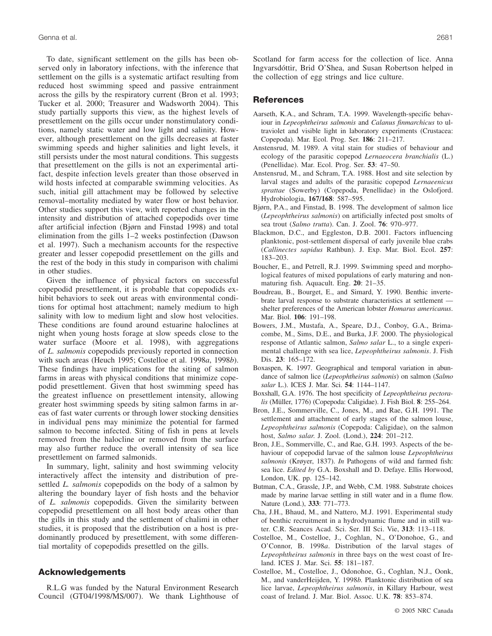To date, significant settlement on the gills has been observed only in laboratory infections, with the inference that settlement on the gills is a systematic artifact resulting from reduced host swimming speed and passive entrainment across the gills by the respiratory current (Bron et al. 1993; Tucker et al. 2000; Treasurer and Wadsworth 2004). This study partially supports this view, as the highest levels of presettlement on the gills occur under nonstimulatory conditions, namely static water and low light and salinity. However, although presettlement on the gills decreases at faster swimming speeds and higher salinities and light levels, it still persists under the most natural conditions. This suggests that presettlement on the gills is not an experimental artifact, despite infection levels greater than those observed in wild hosts infected at comparable swimming velocities. As such, initial gill attachment may be followed by selective removal–mortality mediated by water flow or host behavior. Other studies support this view, with reported changes in the intensity and distribution of attached copepodids over time after artificial infection (Bjørn and Finstad 1998) and total elimination from the gills 1–2 weeks postinfection (Dawson et al. 1997). Such a mechanism accounts for the respective greater and lesser copepodid presettlement on the gills and the rest of the body in this study in comparison with chalimi in other studies.

Given the influence of physical factors on successful copepodid presettlement, it is probable that copepodids exhibit behaviors to seek out areas with environmental conditions for optimal host attachment; namely medium to high salinity with low to medium light and slow host velocities. These conditions are found around estuarine haloclines at night when young hosts forage at slow speeds close to the water surface (Moore et al. 1998), with aggregations of *L. salmonis* copepodids previously reported in connection with such areas (Heuch 1995; Costelloe et al. 1998*a*, 1998*b*). These findings have implications for the siting of salmon farms in areas with physical conditions that minimize copepodid presettlement. Given that host swimming speed has the greatest influence on presettlement intensity, allowing greater host swimming speeds by siting salmon farms in areas of fast water currents or through lower stocking densities in individual pens may minimize the potential for farmed salmon to become infected. Siting of fish in pens at levels removed from the halocline or removed from the surface may also further reduce the overall intensity of sea lice presettlement on farmed salmonids.

In summary, light, salinity and host swimming velocity interactively affect the intensity and distribution of presettled *L. salmonis* copepodids on the body of a salmon by altering the boundary layer of fish hosts and the behavior of *L. salmonis* copepodids. Given the similarity between copepodid presettlement on all host body areas other than the gills in this study and the settlement of chalimi in other studies, it is proposed that the distribution on a host is predominantly produced by presettlement, with some differential mortality of copepodids presettled on the gills.

# **Acknowledgements**

R.L.G was funded by the Natural Environment Research Council (GT04/1998/MS/007). We thank Lighthouse of Scotland for farm access for the collection of lice. Anna Ingvarsdóttir, Brid O'Shea, and Susan Robertson helped in the collection of egg strings and lice culture.

## **References**

- Aarseth, K.A., and Schram, T.A. 1999. Wavelength-specific behaviour in *Lepeophtheirus salmonis* and *Calanus finmarchicus* to ultraviolet and visible light in laboratory experiments (Crustacea: Copepoda). Mar. Ecol. Prog. Ser. **186**: 211–217.
- Anstensrud, M. 1989. A vital stain for studies of behaviour and ecology of the parasitic copepod *Lernaeocera branchialis* (L.) (Penellidae). Mar. Ecol. Prog. Ser. **53**: 47–50.
- Anstensrud, M., and Schram, T.A. 1988. Host and site selection by larval stages and adults of the parasitic copepod *Lernaeenicus sprattae* (Sowerby) (Copepoda, Penellidae) in the Oslofjord. Hydrobiologia, **167/168**: 587–595.
- Bjørn, P.A., and Finstad, B. 1998. The development of salmon lice (*Lepeophtheirus salmonis*) on artificially infected post smolts of sea trout (*Salmo trutta*). Can. J. Zool. **76**: 970–977.
- Blackmon, D.C., and Eggleston, D.B. 2001. Factors influencing planktonic, post-settlement dispersal of early juvenile blue crabs (*Callinectes sapidus* Rathbun). J. Exp. Mar. Biol. Ecol. **257**: 183–203.
- Boucher, E., and Petrell, R.J. 1999. Swimming speed and morphological features of mixed populations of early maturing and nonmaturing fish. Aquacult. Eng. **20**: 21–35.
- Boudreau, B., Bourget, E., and Simard, Y. 1990. Benthic invertebrate larval response to substrate characteristics at settlement shelter preferences of the American lobster *Homarus americanus*. Mar. Biol. **106**: 191–198.
- Bowers, J.M., Mustafa, A., Speare, D.J., Conboy, G.A., Brimacombe, M., Sims, D.E., and Burka, J.F. 2000. The physiological response of Atlantic salmon, *Salmo salar* L., to a single experimental challenge with sea lice, *Lepeophtheirus salmonis*. J. Fish Dis. **23**: 165–172.
- Boxaspen, K. 1997. Geographical and temporal variation in abundance of salmon lice (*Lepeophtheirus salmonis*) on salmon (*Salmo salar* L.). ICES J. Mar. Sci. **54**: 1144–1147.
- Boxshall, G.A. 1976. The host specificity of *Lepeophtheirus pectoralis* (Müller, 1776) (Copepoda: Caligidae). J. Fish Biol. **8**: 255–264.
- Bron, J.E., Sommerville, C., Jones, M., and Rae, G.H. 1991. The settlement and attachment of early stages of the salmon louse, *Lepeophtheirus salmonis* (Copepoda: Caligidae), on the salmon host, *Salmo salar*. J. Zool. (Lond.), **224**: 201–212.
- Bron, J.E., Sommerville, C., and Rae, G.H. 1993. Aspects of the behaviour of copepodid larvae of the salmon louse *Lepeophtheirus salmonis* (Krøyer, 1837). *In* Pathogens of wild and farmed fish: sea lice. *Edited by* G.A. Boxshall and D. Defaye. Ellis Horwood, London, UK. pp. 125–142.
- Butman, C.A., Grassle, J.P., and Webb, C.M. 1988. Substrate choices made by marine larvae settling in still water and in a flume flow. Nature (Lond.), **333**: 771–773.
- Cha, J.H., Bhaud, M., and Nattero, M.J. 1991. Experimental study of benthic recruitment in a hydrodynamic flume and in still water. C.R. Seances Acad. Sci. Ser. III Sci. Vie, **313**: 113–118.
- Costelloe, M., Costelloe, J., Coghlan, N., O'Donohoe, G., and O'Connor, B. 1998*a*. Distribution of the larval stages of *Lepeophtheirus salmonis* in three bays on the west coast of Ireland. ICES J. Mar. Sci. **55**: 181–187.
- Costelloe, M., Costelloe, J., Odonohoe, G., Coghlan, N.J., Oonk, M., and vanderHeijden, Y. 1998*b*. Planktonic distribution of sea lice larvae, *Lepeophtheirus salmonis*, in Killary Harbour, west coast of Ireland. J. Mar. Biol. Assoc. U.K. **78**: 853–874.